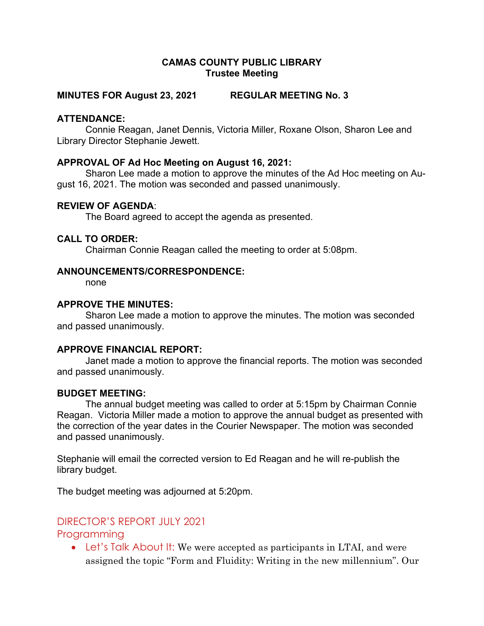# CAMAS COUNTY PUBLIC LIBRARY Trustee Meeting

## MINUTES FOR August 23, 2021 REGULAR MEETING No. 3

## ATTENDANCE:

Connie Reagan, Janet Dennis, Victoria Miller, Roxane Olson, Sharon Lee and Library Director Stephanie Jewett.

### APPROVAL OF Ad Hoc Meeting on August 16, 2021:

Sharon Lee made a motion to approve the minutes of the Ad Hoc meeting on August 16, 2021. The motion was seconded and passed unanimously.

## REVIEW OF AGENDA:

The Board agreed to accept the agenda as presented.

#### CALL TO ORDER:

Chairman Connie Reagan called the meeting to order at 5:08pm.

### ANNOUNCEMENTS/CORRESPONDENCE:

none

## APPROVE THE MINUTES:

Sharon Lee made a motion to approve the minutes. The motion was seconded and passed unanimously.

#### APPROVE FINANCIAL REPORT:

Janet made a motion to approve the financial reports. The motion was seconded and passed unanimously.

#### BUDGET MEETING:

The annual budget meeting was called to order at 5:15pm by Chairman Connie Reagan. Victoria Miller made a motion to approve the annual budget as presented with the correction of the year dates in the Courier Newspaper. The motion was seconded and passed unanimously.

Stephanie will email the corrected version to Ed Reagan and he will re-publish the library budget.

The budget meeting was adjourned at 5:20pm.

# DIRECTOR'S REPORT JULY 2021

# Programming

• Let's Talk About It: We were accepted as participants in LTAI, and were assigned the topic "Form and Fluidity: Writing in the new millennium". Our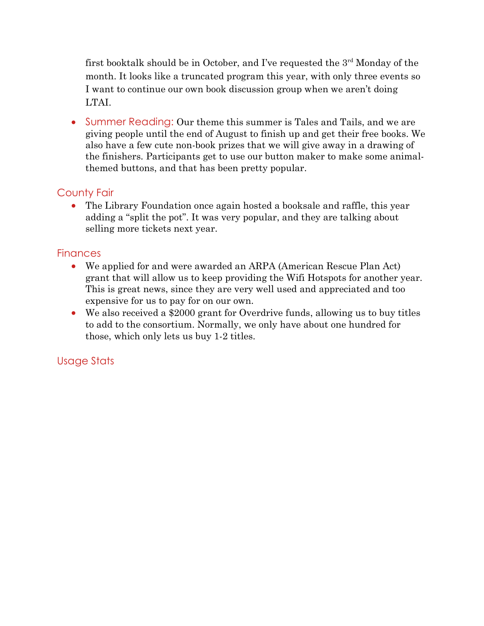first booktalk should be in October, and I've requested the  $3<sup>rd</sup>$  Monday of the month. It looks like a truncated program this year, with only three events so I want to continue our own book discussion group when we aren't doing LTAI.

• Summer Reading: Our theme this summer is Tales and Tails, and we are giving people until the end of August to finish up and get their free books. We also have a few cute non-book prizes that we will give away in a drawing of the finishers. Participants get to use our button maker to make some animalthemed buttons, and that has been pretty popular.

# County Fair

 The Library Foundation once again hosted a booksale and raffle, this year adding a "split the pot". It was very popular, and they are talking about selling more tickets next year.

# **Finances**

- We applied for and were awarded an ARPA (American Rescue Plan Act) grant that will allow us to keep providing the Wifi Hotspots for another year. This is great news, since they are very well used and appreciated and too expensive for us to pay for on our own.
- We also received a \$2000 grant for Overdrive funds, allowing us to buy titles to add to the consortium. Normally, we only have about one hundred for those, which only lets us buy 1-2 titles.

# Usage Stats